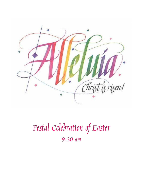

# Festal Celebration of Easter 9:30 am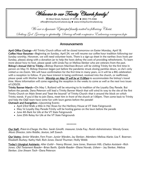Welcome to our Trinity Church family!

We are a dynamic Episcopal family united in following Christ. Seeking God Growing in spirituality Serving all with compassion Embracing courageous hope

### Announcements

April Office Closings—All Trinity Church offices will be closed tomorrow on Easter Monday, April 18. Coffee Hour Resumes—Beginning on Sunday, April 24, we will resume our coffee hour tradition following our Sunday worship. However, we will need volunteer hosts. There is a sign-up sheet in the narthex (two hosts per Sunday, please) along with a donation jar to help the hosts defray the costs of providing refreshments. To learn more about how to host, please speak with Linda Fay or Melissa Slenker who are veterans from the past. Bishop's Annual Visit to Trinity—Bishop Shannon MacVean-Brown will be visiting Trinity for the first time in person on May 15. Bishop Shannon began just before the pandemic struck closing parishes down, so she's only visited us via Zoom. We will have confirmation for the first time in many years, so it will be a BIG celebration with a reception to follow. If you have interest in being confirmed, received into the church, or reaffirmed, please speak with Mother Sarah. Worship on May 15 will be at 11:00am to accommodate the bishop's travel time. More information will come regarding the reception in the weeks to come as well as the next two issues of LOGOS.

Trinity Banner March—On May 1, Rutland will be returning to its tradition of the Loyalty Day Parade. But before the parade, Dana Peterson will lead a Trinity Banner March that will wind its way to the site of the first Trinity Church on Main Street and "beat the bounds" of Trinity Church--that is around the block on which Trinity stands. If you'd like to join Dana, meet him in front of the church at 1:00pm. Then come back to Trinity and help the O&E team have some fun with lawn games before the parade!

Outreach and Evangelism—Upcoming Events:

- April 23rd Walk a Mile in Her Shoes for the HerStory House at VT State Fairgrounds
- May 1st Loyalty Day Parade-Trinity will be hosting games on the lawn before the parade
- June 4th Bark for Life at the VT State Fairgrounds
- June 25th Relay for Life at the VT State Fairgrounds

\*\*\*\*\*\*\*

Our Staff: Priest-in-Charge, the Rev. Sarah Ginolfi; treasurer, Linda Fay; Parish Administrator, Wendy Grace; Music Director, John Riddle; Sexton, Jeff Zoesch

Our Vestry: Senior Warden, Fern Fryer; Junior Warden, Jay Slenker; Members: Melissa Alarie; Lisa F. Boerner; Elizabeth Bushey; Kathy Hall; Rich Jones; David Thurmer; Holly Webb

Today's Liturgical Assistants: Altar Guild— Nancy Blosser, Jane Jones, Shannon Hill; Chalice Assistant—Rich Jones; *Old Testament Reader*—Brian Barth; *Epistle Reader*—Diane Novak; *Ushers*— Jay Slenker, Melissa Slenker: *Live Stream Tech*—Dana Peterson

<sup>85</sup> West Street, Rutland, VT 05701 · (802) 775-4368 office@trinitychurchrutland.org www.trinitychurchrutland.org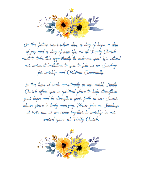

On this festive resurrection day, a day of hope, a day of joy and a day of new life, we at Trinity Church want to take this opportunity to welcome you! We extend our warmest invitation to you to join us on Sundays for worship and Christian Community.

In this time of such uncertainty in our world. Trinity Church offers you a spiritual place to help strengthen your hope and to strengthen your faith in our Savior. whose grace is truly amazing. Please join us Sundays at 9:30 am as we come together to worship in our sacred space at Trinity Church.

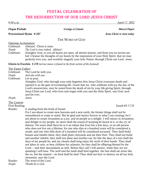# FESTAL CELEBRATION OF the Resurrection of our Lord Jesus Christ

### 9:30 a.m. April 17, 2022

#### Organ Prelude *Cortège et Litanie Marcel Dupré*

Processional Hymn *# 207 Jesus Christ is risen today*

### THE WORD OF GOD

Opening Acclamation

Celebrant: Alleluia! Christ is risen.

*People: The Lord is risen indeed. Alleluia!*

Celebrant: Almighty God, to you all hearts are open, all desires known, and from you no secrets are hid: Cleanse the thoughts of our hearts by the inspiration of your Holy Spirit, that we may perfectly love you, and worthily magnify your holy Name; through Christ our Lord. *Amen*.

Gloria in Excelsis *S 278 (service music is found in the front section of the hymnal)*

#### The Easter Collect

Celebrant: The Lord be with you. *People: And also with you.* Celebrant: Let us pray. Almighty God, who through your only-begotten Son Jesus Christ overcame death and opened to us the gate of everlasting life: Grant that we, who celebrate with joy the day of the Lord's resurrection, may be raised from the death of sin by your life-giving Spirit; through Jesus Christ our Lord, who lives and reigns with you and the Holy Spirit, one God, now and for ever.

## *People: Amen.*

#### The Lessons

First Reading Isaiah 65:17-25

Reader: A reading from the book of Isaiah.

For I am about to create new heavens and a new earth; the former things shall not be remembered or come to mind. But be glad and rejoice forever in what I am creating; for I am about to create Jerusalem as a joy, and its people as a delight. I will rejoice in Jerusalem, and delight in my people; no more shall the sound of weeping be heard in it, or the cry of distress. No more shall there be in it an infant that lives but a few days, or an old person who does not live out a lifetime; for one who dies at a hundred years will be considered a youth, and one who falls short of a hundred will be considered accursed. They shall build houses and inhabit them; they shall plant vineyards and eat their fruit. They shall not build and another inhabit; they shall not plant and another eat; for like the days of a tree shall the days of my people be, and my chosen shall long enjoy the work of their hands. They shall not labor in vain, or bear children for calamity; for they shall be offspring blessed by the Lord— and their descendants as well. Before they call I will answer, while they are yet speaking I will hear. The wolf and the lamb shall feed together, the lion shall eat straw like the ox; but the serpent—its food shall be dust! They shall not hurt or destroy on all my holy mountain, says the Lord.

Reader: The word of the Lord. *People: Thanks be to God.*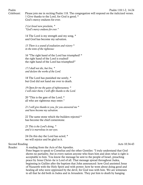Psalm Psalm 118:1-2, 14-24

Celebrant: Please join me in reciting Psalm 118. The congregation will respond on the italicized verses. 1 Give thanks to the Lord, for God is good; \* God's mercy endures for ever.

> *2 Let Israel now proclaim, \* "God's mercy endures for ever."*

14 The Lord is my strength and my song, \* and God has become my salvation.

*15 There is a sound of exultation and victory \* in the tents of the righteous:*

16 "The right hand of the Lord has triumphed! \* the right hand of the Lord is exalted! the right hand of the Lord has triumphed!"

*17 I shall not die, but live, \* and declare the works of the Lord.*

18 The Lord has punished me sorely, \* but God did not hand me over to death.

*19 Open for me the gates of righteousness; \* I will enter them; I will offer thanks to the Lord.*

20 "This is the gate of the Lord; \* all who are righteous may enter."

*21 I will give thanks to you, for you answered me \* and have become my salvation.*

22 The same stone which the builders rejected \* has become the chief cornerstone.

*23 This is the Lord's doing, \* and it is marvelous in our eyes.*

24 On this day the Lord has acted; \* we will rejoice and be glad in it.

#### Second Reading Acts 10:34-43

Reader: A reading from the Acts of the Apostles.

Peter began to speak to Cornelius and the other Gentiles: "I truly understand that God shows no partiality, but in every nation anyone who fears him and does what is right is acceptable to him. You know the message he sent to the people of Israel, preaching peace by Jesus Christ--he is Lord of all. That message spread throughout Judea, beginning in Galilee after the baptism that John announced: how God anointed Jesus of Nazareth with the Holy Spirit and with power; how he went about doing good and healing all who were oppressed by the devil, for God was with him. We are witnesses to all that he did both in Judea and in Jerusalem. They put him to death by hanging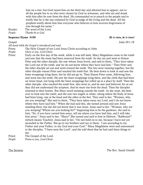him on a tree; but God raised him on the third day and allowed him to appear, not to all the people but to us who were chosen by God as witnesses, and who ate and drank with him after he rose from the dead. He commanded us to preach to the people and to testify that he is the one ordained by God as judge of the living and the dead. All the prophets testify about him that everyone who believes in him receives forgiveness of sins through his name."

Reader: The word of the Lord. *People: Thanks be to God.*

#### Sequence Hymn *#180 He is risen, he is risen!*

Gospel John 20:1-18

*All stand while the Gospel is introduced and read*.

Priest: The Holy Gospel of our Lord Jesus Christ according to John.

*People: Glory to you, Lord Christ.*

Priest: Early on the first day of the week, while it was still dark, Mary Magdalene came to the tomb and saw that the stone had been removed from the tomb. So she ran and went to Simon Peter and the other disciple, the one whom Jesus loved, and said to them, "They have taken the Lord out of the tomb, and we do not know where they have laid him." Then Peter and the other disciple set out and went toward the tomb. The two were running together, but the other disciple outran Peter and reached the tomb first. He bent down to look in and saw the linen wrappings lying there, but he did not go in. Then Simon Peter came, following him, and went into the tomb. He saw the linen wrappings lying there, and the cloth that had been on Jesus' head, not lying with the linen wrappings but rolled up in a place by itself. Then the other disciple, who reached the tomb first, also went in, and he saw and believed; for as yet they did not understand the scripture, that he must rise from the dead. Then the disciples returned to their homes. But Mary stood weeping outside the tomb. As she wept, she bent over to look into the tomb; and she saw two angels in white, sitting where the body of Jesus had been lying, one at the head and the other at the feet. They said to her, "Woman, why are you weeping?" She said to them, "They have taken away my Lord, and I do not know where they have laid him." When she had said this, she turned around and saw Jesus standing there, but she did not know that it was Jesus. Jesus said to her, "Woman, why are you weeping? Whom are you looking for?" Supposing him to be the gardener, she said to him, "Sir, if you have carried him away, tell me where you have laid him, and I will take him away." Jesus said to her, "Mary!" She turned and said to him in Hebrew, "Rabbouni!" (which means Teacher). Jesus said to her, "Do not hold on to me, because I have not yet ascended to the Father. But go to my brothers and say to them, `I am ascending to my Father and your Father, to my God and your God.'" Mary Magdalene went and announced to the disciples, "I have seen the Lord"; and she told them that he had said these things to her.

Priest: The Gospel of the Lord. *People: Praise to you, Lord Christ.*

The Sermon The Rev. Sarah Ginolfi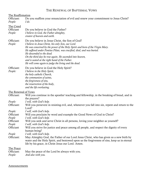### THE RENEWAL OF BAPTISMAL VOWS

#### The Reaffirmation

Officiant: Do you reaffirm your renunciation of evil and renew your commitment to Jesus Christ? *People: I do.*

#### The Creed

| Officiant      | Do you believe in God the Father?                                             |
|----------------|-------------------------------------------------------------------------------|
| <i>People:</i> | I believe in God, the Father almighty,                                        |
|                | creator of heaven and earth.                                                  |
| Officiant:     | Do you believe in Jesus Christ, the Son of God?                               |
| <i>People:</i> | I believe in Jesus Christ, his only Son, our Lord.                            |
|                | He was conceived by the power of the Holy Spirit and born of the Virgin Mary. |
|                | He suffered under Pontius Pilate, was crucified, died, and was buried.        |
|                | He descended to the dead.                                                     |
|                | On the third day he rose again. He ascended into heaven,                      |
|                | and is seated at the right hand of the Father.                                |
|                | He will come again to judge the living and the dead.                          |

# Officiant: Do you believe in God the Holy Spirit? *People: I believe in the Holy Spirit,*

 *the holy catholic Church, the communion of saints, the forgiveness of sins, the resurrection of the body, and the life everlasting.*

The Renewal of Vows

| Officiant: | Will you continue in the apostles' teaching and fellowship, in the breaking of bread, and in    |
|------------|-------------------------------------------------------------------------------------------------|
|            | the prayers?                                                                                    |
| People:    | I will, with God's help.                                                                        |
| Officiant: | Will you persevere in resisting evil, and, whenever you fall into sin, repent and return to the |
|            | Lord?                                                                                           |
| People:    | I will, with God's help.                                                                        |
| Officiant  | Will you proclaim by word and example the Good News of God in Christ?                           |
| People     | I will, with God's help.                                                                        |
| Officiant  | Will you seek and serve Christ in all persons, loving your neighbor as yourself?                |
| People     | I will, with God's help.                                                                        |
| Officiant  | Will you strive for justice and peace among all people, and respect the dignity of every        |
|            | human being?                                                                                    |
| People     | I will, with God's help.                                                                        |
| Officiant: | May Almighty God, the Father of our Lord Jesus Christ, who has given us a new birth by          |
|            | water and the Holy Spirit, and bestowed upon us the forgiveness of sins, keep us in eternal     |
|            | life by his grace, in Christ Jesus our Lord. Amen.                                              |
| The Peace  |                                                                                                 |
| Officiant: | May the peace of the Lord be always with you.                                                   |
| People:    | And also with you.                                                                              |

#### **Announcements**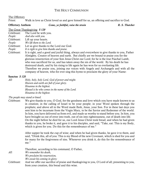### THE HOLY COMMUNION

#### The Offertory

Priest: Walk in love as Christ loved us and gave himself for us, an offering and sacrifice to God.

Offertory Anthem *Come, ye faithful, raise the strain R. S. Thatcher*

#### The Great Thanksgiving *S 120*

Celebrant: The Lord be with you.

- *People: And also with you.*
- Celebrant: Lift up your hearts.
- *People: We lift them to the Lord.*
- Celebrant: Let us give thanks to the Lord our God.
- *People: It is right to give him thanks and praise.*
- Celebrant: It is right, and a good and joyful thing, always and everywhere to give thanks to you, Father Almighty, Creator of heaven and earth. But chiefly are we bound to praise you for the glorious resurrection of your Son Jesus Christ our Lord; for he is the true Paschal Lamb, who was sacrificed for us, and has taken away the sin of the world. By his death he has destroyed death, and by his rising to life again he has won for us everlasting life. Therefore we praise you, joining our voices with Angels and Archangels and with all the company of heaven, who for ever sing this hymn to proclaim the glory of your Name:

#### Sanctus *S 128*

*All: Holy, holy, holy Lord, God of power and might. Heaven and earth are full of your glory. Hosanna in the highest. Blessed is he who comes in the name of the Lord. Hosanna in the highest.*

#### *The people may stand or kneel.*

Celebrant: We give thanks to you, O God, for the goodness and love which you have made known to us in creation; in the calling of Israel to be your people; in your Word spoken through the prophets; and above all in the Word made flesh, Jesus, your Son. For in these last days you sent him to be incarnate from the Virgin Mary, to be the Savior and Redeemer of the world. In him, you have delivered us from evil, and made us worthy to stand before you. In him, you have brought us out of error into truth, out of sin into righteousness, out of death into life. On the night before he died for us, our Lord Jesus Christ took bread; and when he had given thanks to you, he broke it, and gave it to his disciples, and said, "Take, eat: This is my Body, which is given for you. Do this for the remembrance of me."

> After supper he took the cup of wine; and when he had given thanks, he gave it to them, and said, "Drink this, all of you: This is my Blood of the new Covenant, which is shed for you and for many for the forgiveness of sins. Whenever you drink it, do this for the remembrance of me."

|            | Therefore, according to his command, O Father,                                                  |
|------------|-------------------------------------------------------------------------------------------------|
| All:       | We remember his death,                                                                          |
|            | We proclaim his resurrection,                                                                   |
| Celebrant: | We await his coming in glory;                                                                   |
|            | And we offer our sacrifice of praise and thanksgiving to you, O Lord of all; presenting to you, |
|            | from your creation, this bread and this wine.                                                   |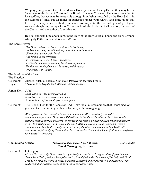We pray you, gracious God, to send your Holy Spirit upon these gifts that they may be the Sacrament of the Body of Christ and his Blood of the new Covenant. Unite us to your Son in his sacrifice, that we may be acceptable through him, being sanctified by the Holy Spirit. In the fullness of time, put all things in subjection under your Christ, and bring us to that heavenly country where, with all your saints, we may enter the everlasting heritage of your sons and daughters; through Jesus Christ our Lord, the firstborn of all creation, the head of the Church, and the author of our salvation.

By him, and with him, and in him, in the unity of the Holy Spirit all honor and glory is yours, Almighty Father, now and for ever. *AMEN*.

#### The Lord's Prayer

*Our Father, who art in heaven, hallowed be thy Name, thy kingdom come, thy will be done, on earth as it is in heaven. Give us this day our daily bread. And forgive us our trespasses, as we forgive those who trespass against us. And lead us not into temptation, but deliver us from evil. For thine is the kingdom, and the power, and the glory, for ever and ever. Amen.*

#### The Breaking of the Bread

#### The Fraction

Celebrant: Alleluia, alleluia, alleluia! Christ our Passover is sacrificed for us; *People: Therefore let us keep the feast. Alleluia, alleluia, alleluia!*

#### Agnus Dei *S 165*

*Jesus, Lamb of God: have mercy on us. Jesus, bearer of our sins: have mercy on us. Jesus, redeemer of the world: give us your peace.*

Celebrant: The Gifts of God for the People of God. Take them in remembrance that Christ died for you, and feed on him in your hearts by faith, with thanksgiving.

> *All may come up the center aisle to receive Communion. Alert an usher if you wish to receive communion in your seat. The priest will distribute the bread and the wine in "kits" that we will consume together once all are served. Those wishing to receive a blessing instead of Communion are invited to cross their arms as a signal to the priest. Also, for various reasons, some opt to receive communion in "one kind" i.e. only the bread or only the wine. Communion in "one kind" still constitutes the full receipt of Communion. Let those serving Communion know if this is your preference upon arrival to the railing.*

### Communion Anthem *The trumpet shall sound; from "Messiah" G.F. Handel* David Castonguay, baritone

Celebrant: Let us pray.

*Eternal God, heavenly Father, you have graciously accepted us as living members of your Son our Savior Jesus Christ, and you have fed us with spiritual food in the Sacrament of his Body and Blood. Send us now into the world in peace, and grant us strength and courage to love and serve you with gladness and singleness of heart; through Christ our Lord. Amen.*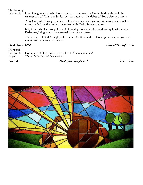#### The Blessing

Celebrant: May Almighty God, who has redeemed us and made us God's children through the resurrection of Christ our Savior, bestow upon you the riches of God's blessing. *Amen*.

> May God, who through the water of baptism has raised us from sin into newness of life, make you holy and worthy to be united with Christ for ever. *Amen*.

> May God, who has brought us out of bondage to sin into true and lasting freedom in the Redeemer, bring you to your eternal inheritance. *Amen*.

The blessing of God Almighty, the Father, the Son, and the Holy Spirit, be upon you and remain with you for ever. *Amen*.

Final Hymn *#208 Alleluia! The strife is o'er*

Dismissal Celebrant: Go in peace to love and serve the Lord, Alleluia, alleluia! *People: Thanks be to God, Alleluia, alleluia!*

Postlude *Finale from Symphonie I Louis Vierne*

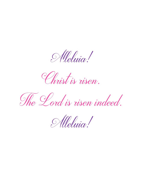Meluia!

Christ is risen.

The Lord is risen indeed.

Meluia!